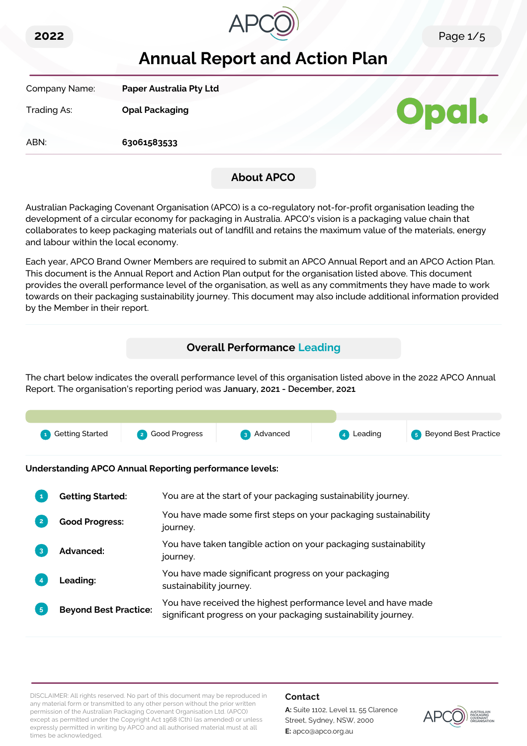



# **Annual Report and Action Plan**

Company Name: **Paper Australia Pty Ltd**

Trading As: **Opal Packaging**

ABN: **63061583533**



## **About APCO**

Australian Packaging Covenant Organisation (APCO) is a co-regulatory not-for-profit organisation leading the development of a circular economy for packaging in Australia. APCO's vision is a packaging value chain that collaborates to keep packaging materials out of landfill and retains the maximum value of the materials, energy and labour within the local economy.

Each year, APCO Brand Owner Members are required to submit an APCO Annual Report and an APCO Action Plan. This document is the Annual Report and Action Plan output for the organisation listed above. This document provides the overall performance level of the organisation, as well as any commitments they have made to work towards on their packaging sustainability journey. This document may also include additional information provided by the Member in their report.

## **Overall Performance Leading**

The chart below indicates the overall performance level of this organisation listed above in the 2022 APCO Annual Report. The organisation's reporting period was **January, 2021 - December, 2021**.



**Understanding APCO Annual Reporting performance levels:**

|                | <b>Getting Started:</b>      | You are at the start of your packaging sustainability journey.                                                                  |
|----------------|------------------------------|---------------------------------------------------------------------------------------------------------------------------------|
| $\overline{2}$ | <b>Good Progress:</b>        | You have made some first steps on your packaging sustainability<br>journey.                                                     |
| 3              | <b>Advanced:</b>             | You have taken tangible action on your packaging sustainability<br>journey.                                                     |
|                | Leading:                     | You have made significant progress on your packaging<br>sustainability journey.                                                 |
| 5 <sup>1</sup> | <b>Beyond Best Practice:</b> | You have received the highest performance level and have made<br>significant progress on your packaging sustainability journey. |

DISCLAIMER: All rights reserved. No part of this document may be reproduced in any material form or transmitted to any other person without the prior written permission of the Australian Packaging Covenant Organisation Ltd. (APCO) except as permitted under the Copyright Act 1968 (Cth) (as amended) or unless expressly permitted in writing by APCO and all authorised material must at all times be acknowledged.

#### **Contact**

**A:** Suite 1102, Level 11, 55 Clarence Street, Sydney, NSW, 2000 **E:** apco@apco.org.au

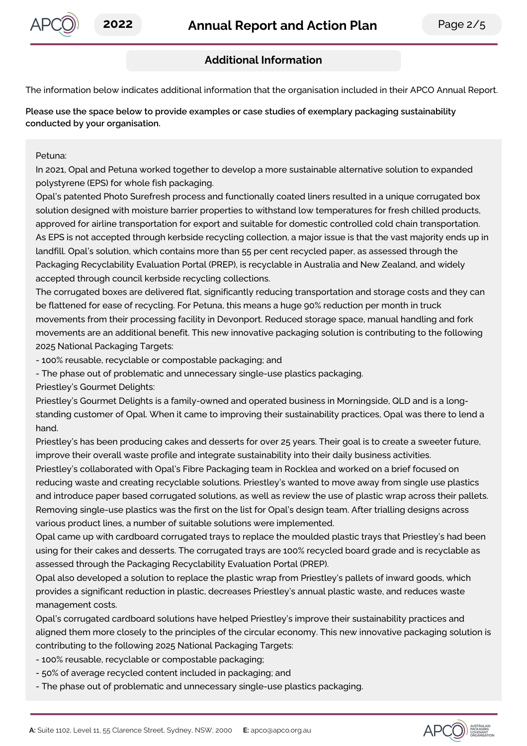

## **Additional Information**

The information below indicates additional information that the organisation included in their APCO Annual Report.

**Please use the space below to provide examples or case studies of exemplary packaging sustainability conducted by your organisation.**

Petuna:

In 2021, Opal and Petuna worked together to develop a more sustainable alternative solution to expanded polystyrene (EPS) for whole fish packaging.

Opal's patented Photo Surefresh process and functionally coated liners resulted in a unique corrugated box solution designed with moisture barrier properties to withstand low temperatures for fresh chilled products, approved for airline transportation for export and suitable for domestic controlled cold chain transportation. As EPS is not accepted through kerbside recycling collection, a major issue is that the vast majority ends up in landfill. Opal's solution, which contains more than 55 per cent recycled paper, as assessed through the Packaging Recyclability Evaluation Portal (PREP), is recyclable in Australia and New Zealand, and widely accepted through council kerbside recycling collections.

The corrugated boxes are delivered flat, significantly reducing transportation and storage costs and they can be flattened for ease of recycling. For Petuna, this means a huge 90% reduction per month in truck movements from their processing facility in Devonport. Reduced storage space, manual handling and fork movements are an additional benefit. This new innovative packaging solution is contributing to the following 2025 National Packaging Targets:

- 100% reusable, recyclable or compostable packaging; and

- The phase out of problematic and unnecessary single-use plastics packaging.

Priestley's Gourmet Delights:

Priestley's Gourmet Delights is a family-owned and operated business in Morningside, QLD and is a longstanding customer of Opal. When it came to improving their sustainability practices, Opal was there to lend a hand.

Priestley's has been producing cakes and desserts for over 25 years. Their goal is to create a sweeter future, improve their overall waste profile and integrate sustainability into their daily business activities.

Priestley's collaborated with Opal's Fibre Packaging team in Rocklea and worked on a brief focused on reducing waste and creating recyclable solutions. Priestley's wanted to move away from single use plastics and introduce paper based corrugated solutions, as well as review the use of plastic wrap across their pallets. Removing single-use plastics was the first on the list for Opal's design team. After trialling designs across various product lines, a number of suitable solutions were implemented.

Opal came up with cardboard corrugated trays to replace the moulded plastic trays that Priestley's had been using for their cakes and desserts. The corrugated trays are 100% recycled board grade and is recyclable as assessed through the Packaging Recyclability Evaluation Portal (PREP).

Opal also developed a solution to replace the plastic wrap from Priestley's pallets of inward goods, which provides a significant reduction in plastic, decreases Priestley's annual plastic waste, and reduces waste management costs.

Opal's corrugated cardboard solutions have helped Priestley's improve their sustainability practices and aligned them more closely to the principles of the circular economy. This new innovative packaging solution is contributing to the following 2025 National Packaging Targets:

- 100% reusable, recyclable or compostable packaging;
- 50% of average recycled content included in packaging; and
- The phase out of problematic and unnecessary single-use plastics packaging.

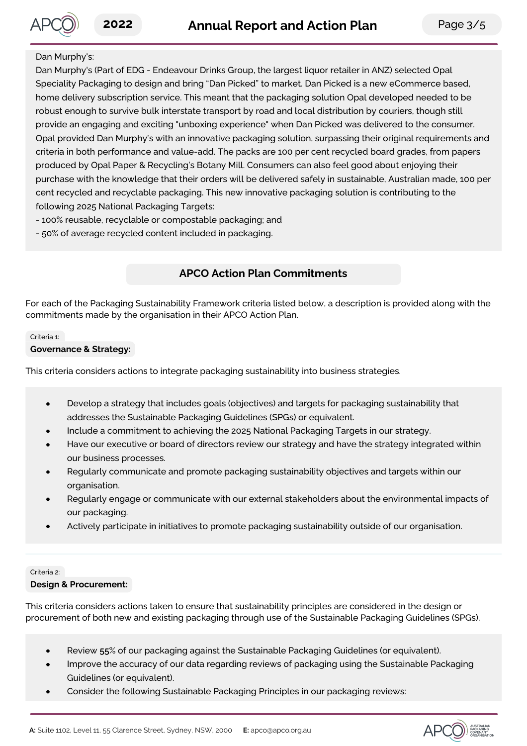#### Dan Murphy's:

Dan Murphy's (Part of EDG - Endeavour Drinks Group, the largest liquor retailer in ANZ) selected Opal Speciality Packaging to design and bring "Dan Picked" to market. Dan Picked is a new eCommerce based, home delivery subscription service. This meant that the packaging solution Opal developed needed to be robust enough to survive bulk interstate transport by road and local distribution by couriers, though still provide an engaging and exciting "unboxing experience" when Dan Picked was delivered to the consumer. Opal provided Dan Murphy's with an innovative packaging solution, surpassing their original requirements and criteria in both performance and value-add. The packs are 100 per cent recycled board grades, from papers produced by Opal Paper & Recycling's Botany Mill. Consumers can also feel good about enjoying their purchase with the knowledge that their orders will be delivered safely in sustainable, Australian made, 100 per cent recycled and recyclable packaging. This new innovative packaging solution is contributing to the following 2025 National Packaging Targets:

- 100% reusable, recyclable or compostable packaging; and
- 50% of average recycled content included in packaging.

## **APCO Action Plan Commitments**

For each of the Packaging Sustainability Framework criteria listed below, a description is provided along with the commitments made by the organisation in their APCO Action Plan.

#### Criteria 1:

#### **Governance & Strategy:**

This criteria considers actions to integrate packaging sustainability into business strategies.

- Develop a strategy that includes goals (objectives) and targets for packaging sustainability that  $\bullet$ addresses the Sustainable Packaging Guidelines (SPGs) or equivalent.
- Include a commitment to achieving the 2025 National Packaging Targets in our strategy.
- Have our executive or board of directors review our strategy and have the strategy integrated within our business processes.
- Regularly communicate and promote packaging sustainability objectives and targets within our organisation.
- Regularly engage or communicate with our external stakeholders about the environmental impacts of our packaging.
- Actively participate in initiatives to promote packaging sustainability outside of our organisation.

#### Criteria 2:

#### **Design & Procurement:**

This criteria considers actions taken to ensure that sustainability principles are considered in the design or procurement of both new and existing packaging through use of the Sustainable Packaging Guidelines (SPGs).

- Review **55**% of our packaging against the Sustainable Packaging Guidelines (or equivalent).
- Improve the accuracy of our data regarding reviews of packaging using the Sustainable Packaging Guidelines (or equivalent).
- Consider the following Sustainable Packaging Principles in our packaging reviews:  $\bullet$

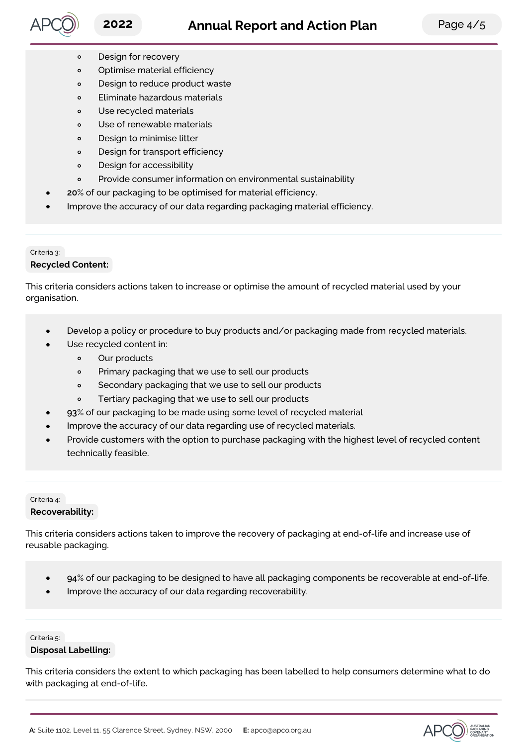

APCO) AUSTRALIAN

- Design for recovery  $\circ$
- Optimise material efficiency  $\circ$
- Design to reduce product waste  $\circ$
- Eliminate hazardous materials  $\circ$
- Use recycled materials  $\circ$
- Use of renewable materials  $\circ$
- Design to minimise litter  $\circ$
- $\circ$ Design for transport efficiency
- Design for accessibility  $\circ$
- Provide consumer information on environmental sustainability  $\circ$
- **20**% of our packaging to be optimised for material efficiency.
- Improve the accuracy of our data regarding packaging material efficiency.

### Criteria 3: **Recycled Content:**

This criteria considers actions taken to increase or optimise the amount of recycled material used by your organisation.

- Develop a policy or procedure to buy products and/or packaging made from recycled materials.  $\bullet$
- Use recycled content in:
	- $\circ$ Our products
	- Primary packaging that we use to sell our products  $\circ$
	- $\circ$ Secondary packaging that we use to sell our products
	- Tertiary packaging that we use to sell our products  $\circ$
- **93**% of our packaging to be made using some level of recycled material
- Improve the accuracy of our data regarding use of recycled materials.
- Provide customers with the option to purchase packaging with the highest level of recycled content technically feasible.

#### Criteria 4: **Recoverability:**

This criteria considers actions taken to improve the recovery of packaging at end-of-life and increase use of reusable packaging.

- **94**% of our packaging to be designed to have all packaging components be recoverable at end-of-life.  $\bullet$
- Improve the accuracy of our data regarding recoverability.

#### Criteria 5: **Disposal Labelling:**

This criteria considers the extent to which packaging has been labelled to help consumers determine what to do with packaging at end-of-life.